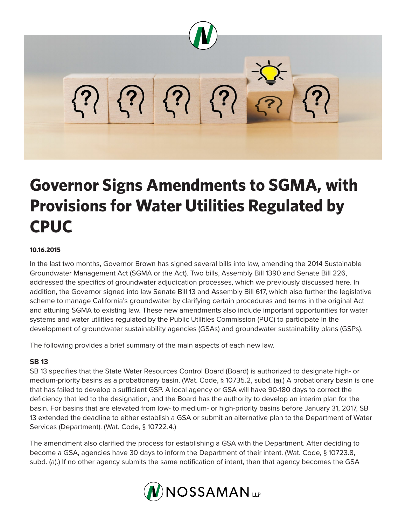

## **Governor Signs Amendments to SGMA, with Provisions for Water Utilities Regulated by CPUC**

## **10.16.2015**

In the last two months, Governor Brown has signed several bills into law, amending the 2014 Sustainable Groundwater Management Act (SGMA or the Act). Two bills, Assembly Bill 1390 and Senate Bill 226, addressed the specifics of groundwater adjudication processes, which we previously discussed here. In addition, the Governor signed into law Senate Bill 13 and Assembly Bill 617, which also further the legislative scheme to manage California's groundwater by clarifying certain procedures and terms in the original Act and attuning SGMA to existing law. These new amendments also include important opportunities for water systems and water utilities regulated by the Public Utilities Commission (PUC) to participate in the development of groundwater sustainability agencies (GSAs) and groundwater sustainability plans (GSPs).

The following provides a brief summary of the main aspects of each new law.

## **SB 13**

SB 13 specifies that the State Water Resources Control Board (Board) is authorized to designate high- or medium-priority basins as a probationary basin. (Wat. Code, § 10735.2, subd. (a).) A probationary basin is one that has failed to develop a sufficient GSP. A local agency or GSA will have 90-180 days to correct the deficiency that led to the designation, and the Board has the authority to develop an interim plan for the basin. For basins that are elevated from low- to medium- or high-priority basins before January 31, 2017, SB 13 extended the deadline to either establish a GSA or submit an alternative plan to the Department of Water Services (Department). (Wat. Code, § 10722.4.)

The amendment also clarified the process for establishing a GSA with the Department. After deciding to become a GSA, agencies have 30 days to inform the Department of their intent. (Wat. Code, § 10723.8, subd. (a).) If no other agency submits the same notification of intent, then that agency becomes the GSA